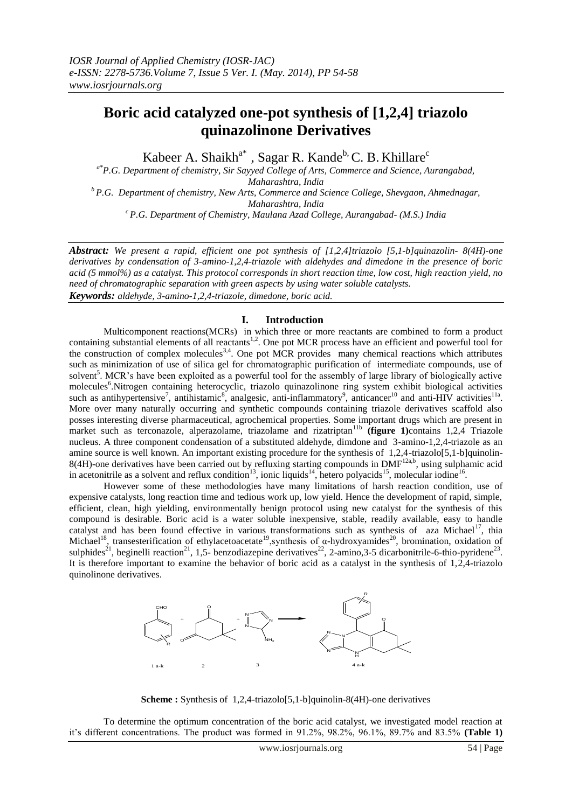# **Boric acid catalyzed one-pot synthesis of [1,2,4] triazolo quinazolinone Derivatives**

Kabeer A. Shaikh<sup>a\*</sup>, Sagar R. Kande<sup>b,</sup> C. B. Khillare<sup>c</sup>

*a\*P.G. Department of chemistry, Sir Sayyed College of Arts, Commerce and Science, Aurangabad, Maharashtra, India <sup>b</sup>P.G. Department of chemistry, New Arts, Commerce and Science College, Shevgaon, Ahmednagar, Maharashtra, India <sup>c</sup>P.G. Department of Chemistry, Maulana Azad College, Aurangabad- (M.S.) India* 

*Abstract: We present a rapid, efficient one pot synthesis of [1,2,4]triazolo [5,1-b]quinazolin- 8(4H)-one derivatives by condensation of 3-amino-1,2,4-triazole with aldehydes and dimedone in the presence of boric acid (5 mmol%) as a catalyst. This protocol corresponds in short reaction time, low cost, high reaction yield, no need of chromatographic separation with green aspects by using water soluble catalysts. Keywords: aldehyde, 3-amino-1,2,4-triazole, dimedone, boric acid.*

#### **I. Introduction**

Multicomponent reactions(MCRs) in which three or more reactants are combined to form a product containing substantial elements of all reactants<sup>1,2</sup>. One pot MCR process have an efficient and powerful tool for the construction of complex molecules<sup>3,4</sup>. One pot MCR provides many chemical reactions which attributes such as minimization of use of silica gel for chromatographic purification of intermediate compounds, use of solvent<sup>5</sup>. MCR's have been exploited as a powerful tool for the assembly of large library of biologically active molecules<sup>6</sup>.Nitrogen containing heterocyclic, triazolo quinazolinone ring system exhibit biological activities such as antihypertensive<sup>7</sup>, antihistamic<sup>8</sup>, analgesic, anti-inflammatory<sup>9</sup>, anticancer<sup>10</sup> and anti-HIV activities<sup>11a</sup>. More over many naturally occurring and synthetic compounds containing triazole derivatives scaffold also posses interesting diverse pharmaceutical, agrochemical properties. Some important drugs which are present in market such as terconazole, alperazolame, triazolame and rizatriptan<sup>11b</sup> (figure 1)contains 1,2,4 Triazole nucleus. A three component condensation of a substituted aldehyde, dimdone and 3-amino-1,2,4-triazole as an amine source is well known. An important existing procedure for the synthesis of 1,2,4-triazolo[5,1-b]quinolin-8(4H)-one derivatives have been carried out by refluxing starting compounds in DMF<sup>12a,b</sup>, using sulphamic acid in acetonitrile as a solvent and reflux condition<sup>13</sup>, ionic liquids<sup>14</sup>, hetero polyacids<sup>15</sup>, molecular iodine<sup>16</sup>.

However some of these methodologies have many limitations of harsh reaction condition, use of expensive catalysts, long reaction time and tedious work up, low yield. Hence the development of rapid, simple, efficient, clean, high yielding, environmentally benign protocol using new catalyst for the synthesis of this compound is desirable. Boric acid is a water soluble inexpensive, stable, readily available, easy to handle catalyst and has been found effective in various transformations such as synthesis of  $\alpha$ za Michael<sup>17</sup>, thia Michael<sup>18</sup>, transesterification of ethylacetoacetate<sup>19</sup>, synthesis of  $\alpha$ -hydroxyamides<sup>20</sup>, bromination, oxidation of sulphides<sup>21</sup>, beginelli reaction<sup>21</sup>, 1,5- benzodiazepine derivatives<sup>22</sup>, 2-amino,3-5 dicarbonitrile-6-thio-pyridene<sup>23</sup>. It is therefore important to examine the behavior of boric acid as a catalyst in the synthesis of 1,2,4-triazolo quinolinone derivatives.



**Scheme :** Synthesis of 1,2,4-triazolo<sup>[5,1-b]quinolin-8(4H)-one derivatives</sup>

To determine the optimum concentration of the boric acid catalyst, we investigated model reaction at it's different concentrations. The product was formed in 91.2%, 98.2%, 96.1%, 89.7% and 83.5% **(Table 1)**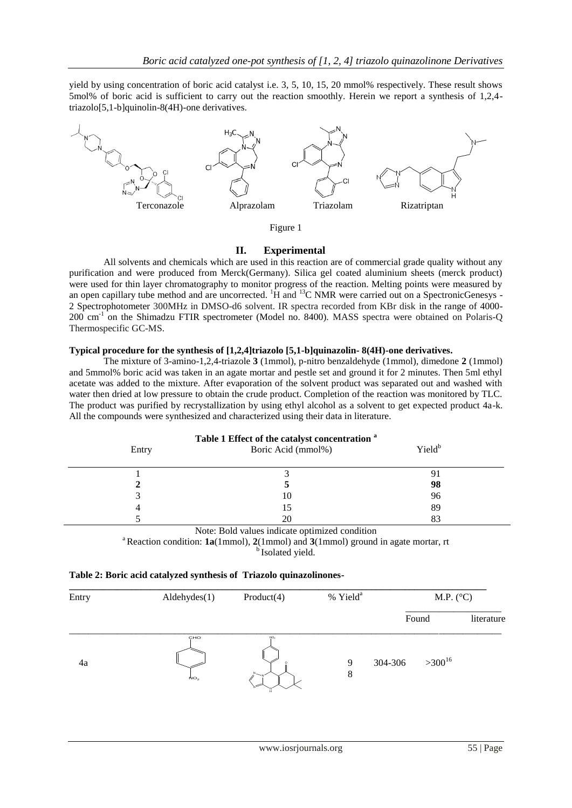yield by using concentration of boric acid catalyst i.e. 3, 5, 10, 15, 20 mmol% respectively. These result shows 5mol% of boric acid is sufficient to carry out the reaction smoothly. Herein we report a synthesis of 1,2,4 triazolo[5,1-b]quinolin-8(4H)-one derivatives.



## Figure 1

## **II. Experimental**

All solvents and chemicals which are used in this reaction are of commercial grade quality without any purification and were produced from Merck(Germany). Silica gel coated aluminium sheets (merck product) were used for thin layer chromatography to monitor progress of the reaction. Melting points were measured by an open capillary tube method and are uncorrected.  ${}^{1}\text{H}$  and  ${}^{13}\text{C}$  NMR were carried out on a SpectronicGenesys -2 Spectrophotometer 300MHz in DMSO-d6 solvent. IR spectra recorded from KBr disk in the range of 4000- 200 cm<sup>-1</sup> on the Shimadzu FTIR spectrometer (Model no. 8400). MASS spectra were obtained on Polaris-Q Thermospecific GC-MS.

## **Typical procedure for the synthesis of [1,2,4]triazolo [5,1-b]quinazolin- 8(4H)-one derivatives.**

The mixture of 3-amino-1,2,4-triazole **3** (1mmol), p-nitro benzaldehyde (1mmol), dimedone **2** (1mmol) and 5mmol% boric acid was taken in an agate mortar and pestle set and ground it for 2 minutes. Then 5ml ethyl acetate was added to the mixture. After evaporation of the solvent product was separated out and washed with water then dried at low pressure to obtain the crude product. Completion of the reaction was monitored by TLC. The product was purified by recrystallization by using ethyl alcohol as a solvent to get expected product 4a-k. All the compounds were synthesized and characterized using their data in literature.

| Table 1 Effect of the catalyst concentration <sup>a</sup> |                    |                    |  |  |  |  |  |
|-----------------------------------------------------------|--------------------|--------------------|--|--|--|--|--|
| Entry                                                     | Boric Acid (mmol%) | Yield <sup>b</sup> |  |  |  |  |  |
|                                                           |                    |                    |  |  |  |  |  |
|                                                           |                    |                    |  |  |  |  |  |
|                                                           |                    | 98                 |  |  |  |  |  |
|                                                           | ГU                 | 96                 |  |  |  |  |  |
|                                                           |                    | 89                 |  |  |  |  |  |
|                                                           |                    |                    |  |  |  |  |  |

#### Note: Bold values indicate optimized condition

<sup>a</sup> Reaction condition:  $1a(1mmol)$ ,  $2(1mmol)$  and  $3(1mmol)$  ground in agate mortar, rt

**b**Isolated yield.

## **Table 2: Boric acid catalyzed synthesis of Triazolo quinazolinones-**

| Entry | Aldehyde(1)            | Product(4)      | % Yield <sup>a</sup> | M.P. $(^{\circ}C)$     |            |  |
|-------|------------------------|-----------------|----------------------|------------------------|------------|--|
|       |                        |                 |                      | Found                  | literature |  |
| 4a    | CHO<br>NO <sub>2</sub> | NO <sub>2</sub> | 9<br>8               | $>300^{16}$<br>304-306 |            |  |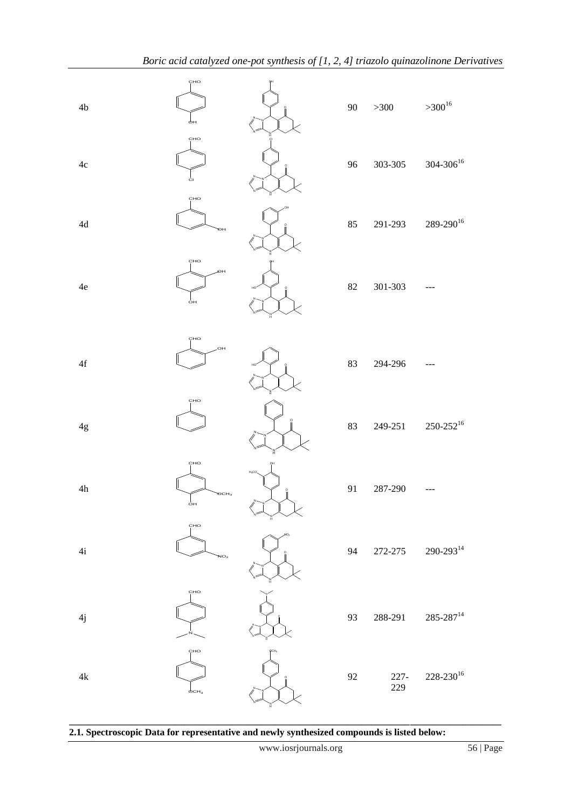| 4 <sub>b</sub> | CHO<br>φн                     |            | $90\,$ | $>300$         | $>300^{16}$            |
|----------------|-------------------------------|------------|--------|----------------|------------------------|
| $4\mathrm{c}$  | CHO<br>ċı                     |            | 96     | 303-305        | $304 - 306^{16}$       |
| $4d$           | CHO<br>ЮH                     |            | 85     | 291-293        | $289 - 290^{16}$       |
| $4\mathrm{e}$  | CHO<br>ЮΗ<br>ÓН               |            | $82\,$ | $301 - 303$    |                        |
| $4\mathbf{f}$  | CHO<br>OH.                    |            | 83     | 294-296        |                        |
| $4\mathrm{g}$  | CHO                           |            | 83     | 249-251        | $250\text{-}252^{16}$  |
| 4h             | CHO<br>$\overline{O}CH_3$     | $H_3CO$    | 91     | 287-290        |                        |
| 4i             | CHO<br>NO <sub>2</sub>        |            | 94     | 272-275        | $290\hbox{-} 293^{14}$ |
| 4j             | CHO                           |            | 93     | 288-291        | $285\text{-}287^{14}$  |
| $4{\rm k}$     | CHO<br>$\phi$ CH <sub>3</sub> | <b>QCH</b> | 92     | $227 -$<br>229 | $228\text{-}230^{16}$  |

**\_\_\_\_\_\_\_\_\_\_\_\_\_\_\_\_\_\_\_\_\_\_\_\_\_\_\_\_\_\_\_\_\_\_\_\_\_\_\_\_\_\_\_\_\_\_\_\_\_\_\_\_\_\_\_\_\_\_\_\_\_\_\_\_\_\_\_\_\_\_\_\_\_\_\_\_\_\_\_\_\_\_\_\_\_\_\_\_\_\_**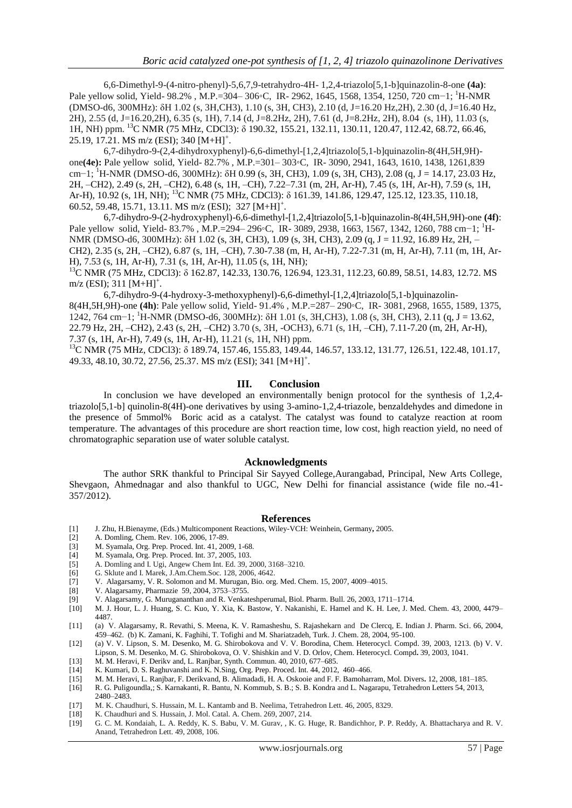6,6-Dimethyl-9-(4-nitro-phenyl)-5,6,7,9-tetrahydro-4H- 1,2,4-triazolo[5,1-b]quinazolin-8-one **(4a)**: Pale yellow solid, Yield- 98.2%, M.P.=304– 306◦C, IR- 2962, 1645, 1568, 1354, 1250, 720 cm−1; <sup>1</sup>H-NMR (DMSO-d6, 300MHz): δH 1.02 (s, 3H,CH3), 1.10 (s, 3H, CH3), 2.10 (d, J=16.20 Hz,2H), 2.30 (d, J=16.40 Hz, 2H), 2.55 (d, J=16.20,2H), 6.35 (s, 1H), 7.14 (d, J=8.2Hz, 2H), 7.61 (d, J=8.2Hz, 2H), 8.04 (s, 1H), 11.03 (s, 1H, NH) ppm. <sup>13</sup>C NMR (75 MHz, CDCl3): δ 190.32, 155.21, 132.11, 130.11, 120.47, 112.42, 68.72, 66.46, 25.19, 17.21. MS m/z (ESI); 340 [M+H]<sup>+</sup>.

6,7-dihydro-9-(2,4-dihydroxyphenyl)-6,6-dimethyl-[1,2,4]triazolo[5,1-b]quinazolin-8(4H,5H,9H) one**(4e):** Pale yellow solid, Yield- 82.7% , M.P.=301– 303◦C, IR- 3090, 2941, 1643, 1610, 1438, 1261,839 cm−1; <sup>1</sup>H-NMR (DMSO-d6, 300MHz): δH 0.99 (s, 3H, CH3), 1.09 (s, 3H, CH3), 2.08 (q, J = 14.17, 23.03 Hz, 2H, –CH2), 2.49 (s, 2H, –CH2), 6.48 (s, 1H, –CH), 7.22–7.31 (m, 2H, Ar-H), 7.45 (s, 1H, Ar-H), 7.59 (s, 1H, Ar-H), 10.92 (s, 1H, NH); <sup>13</sup>C NMR (75 MHz, CDCl3): δ 161.39, 141.86, 129.47, 125.12, 123.35, 110.18, 60.52, 59.48, 15.71, 13.11. MS m/z (ESI); 327 [M+H]<sup>+</sup> .

6,7-dihydro-9-(2-hydroxyphenyl)-6,6-dimethyl-[1,2,4]triazolo[5,1-b]quinazolin-8(4H,5H,9H)-one **(4f)**: Pale yellow solid, Yield- 83.7% , M.P.=294– 296◦C, IR- 3089, 2938, 1663, 1567, 1342, 1260, 788 cm−1; <sup>1</sup>H-NMR (DMSO-d6, 300MHz): δH 1.02 (s, 3H, CH3), 1.09 (s, 3H, CH3), 2.09 (q, J = 11.92, 16.89 Hz, 2H, -CH2), 2.35 (s, 2H, –CH2), 6.87 (s, 1H, –CH), 7.30-7.38 (m, H, Ar-H), 7.22-7.31 (m, H, Ar-H), 7.11 (m, 1H, Ar-H), 7.53 (s, 1H, Ar-H), 7.31 (s, 1H, Ar-H), 11.05 (s, 1H, NH);

<sup>13</sup>C NMR (75 MHz, CDCl3): δ 162.87, 142.33, 130.76, 126.94, 123.31, 112.23, 60.89, 58.51, 14.83, 12.72. MS  $m/z$  (ESI); 311  $[M+H]$ <sup>+</sup>.

6,7-dihydro-9-(4-hydroxy-3-methoxyphenyl)-6,6-dimethyl-[1,2,4]triazolo[5,1-b]quinazolin-8(4H,5H,9H)-one **(4h)**: Pale yellow solid, Yield- 91.4% , M.P.=287– 290◦C, IR- 3081, 2968, 1655, 1589, 1375, 1242, 764 cm−1; <sup>1</sup>H-NMR (DMSO-d6, 300MHz): δH 1.01 (s, 3H,CH3), 1.08 (s, 3H, CH3), 2.11 (q, J = 13.62, 22.79 Hz, 2H, –CH2), 2.43 (s, 2H, –CH2) 3.70 (s, 3H, -OCH3), 6.71 (s, 1H, –CH), 7.11-7.20 (m, 2H, Ar-H), 7.37 (s, 1H, Ar-H), 7.49 (s, 1H, Ar-H), 11.21 (s, 1H, NH) ppm.

<sup>13</sup>C NMR (75 MHz, CDCl3): δ 189.74, 157.46, 155.83, 149.44, 146.57, 133.12, 131.77, 126.51, 122.48, 101.17, 49.33, 48.10, 30.72, 27.56, 25.37. MS m/z (ESI); 341 [M+H]<sup>+</sup> .

#### **III. Conclusion**

In conclusion we have developed an environmentally benign protocol for the synthesis of 1,2,4 triazolo[5,1-b] quinolin-8(4H)-one derivatives by using 3-amino-1,2,4-triazole, benzaldehydes and dimedone in the presence of 5mmol% Boric acid as a catalyst. The catalyst was found to catalyze reaction at room temperature. The advantages of this procedure are short reaction time, low cost, high reaction yield, no need of chromatographic separation use of water soluble catalyst.

#### **Acknowledgments**

The author SRK thankful to Principal Sir Sayyed College,Aurangabad, Principal, New Arts College, Shevgaon, Ahmednagar and also thankful to UGC, New Delhi for financial assistance (wide file no.-41- 357/2012).

#### **References**

- [1] J. Zhu, H.Bienayme, (Eds.) Multicomponent Reactions, Wiley-VCH: Weinhein, Germany**,** 2005.
- [2] A. Domling, Chem. Rev. 106, 2006, 17-89.
- [3] M. Syamala, Org. Prep. Proced. Int. 41, 2009, 1-68.
- M. Syamala, Org. Prep. Proced. Int. 37, 2005, 103.
- [5] A. Domling and I. Ugi, Angew Chem Int. Ed. 39, 2000, 3168–3210.
- [6] G. Sklute and I. Marek, J.Am.Chem.Soc. 128, 2006, 4642.<br>[7] V. Alagarsamy, V. R. Solomon and M. Murugan, Bio. org
- [7] V. Alagarsamy, V. R. Solomon and M. Murugan, Bio. org. Med. Chem. 15, 2007, 4009–4015.
- [8] V. Alagarsamy, Pharmazie 59, 2004, 3753–3755.
- [9] V. Alagarsamy, G. Murugananthan and R. Venkateshperumal, Biol. Pharm. Bull. 26, 2003, 1711–1714.
- [10] M. J. Hour, L. J. Huang, S. C. Kuo, Y. Xia, K. Bastow, Y. Nakanishi, E. Hamel and K. H. Lee, J. Med. Chem. 43, 2000, 4479– 4487.
- [11] (a) V. Alagarsamy, R. Revathi, S. Meena, K. V. Ramasheshu, S. Rajashekarn and De Clercq, E. Indian J. Pharm. Sci. 66, 2004, 459–462. (b) K. Zamani, K. Faghihi, T. Tofighi and M. Shariatzadeh, Turk. J. Chem. 28, 2004, 95-100.
- [12] (a) V. V. Lipson, S. M. Desenko, M. G. Shirobokova and V. V. Borodina, Chem. Heterocycl. Compd. 39, 2003, 1213. (b) V. V. Lipson, S. M. Desenko, M. G. Shirobokova, O. V. Shishkin and V. D. Orlov, Chem. Heterocycl. Compd**.** 39, 2003, 1041.
- [13] M. M. Heravi, F. Derikv and, L. Ranjbar, Synth. Commun. 40, 2010, 677–685.
- [14] K. Kumari, D. S. Raghuvanshi and K. N.Sing, Org. Prep. Proced. Int. 44, 2012, 460–466.
- [15] M. M. Heravi, L. Ranjbar, F. Derikvand, B. Alimadadi, H. A. Oskooie and F. F. Bamoharram, Mol. Divers**.** 12, 2008, 181–185.
- [16] R. G. Puligoundla,; S. Karnakanti, R. Bantu, N. Kommub, S. B.; S. B. Kondra and L. Nagarapu, Tetrahedron Letters 54, 2013,
- 2480–2483.
- [17] M. K. Chaudhuri, S. Hussain, M. L. Kantamb and B. Neelima, Tetrahedron Lett. 46, 2005, 8329.
- K. Chaudhuri and S. Hussain, J. Mol. Catal. A. Chem. 269, 2007, 214.
- [19] G. C. M. Kondaiah, L. A. Reddy, K. S. Babu, V. M. Gurav, , K. G. Huge, R. Bandichhor, P. P. Reddy, A. Bhattacharya and R. V. Anand, Tetrahedron Lett. 49, 2008, 106.